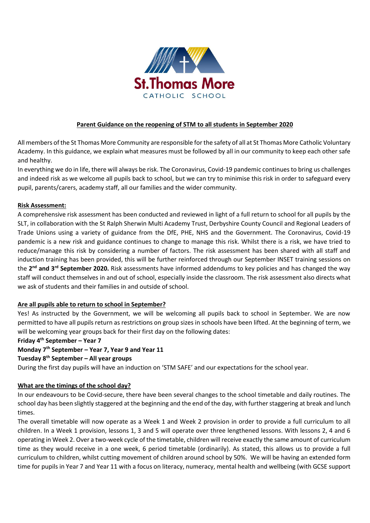

# **Parent Guidance on the reopening of STM to all students in September 2020**

All members of the St Thomas More Community are responsible for the safety of all at St Thomas More Catholic Voluntary Academy. In this guidance, we explain what measures must be followed by all in our community to keep each other safe and healthy.

In everything we do in life, there will always be risk. The Coronavirus, Covid-19 pandemic continues to bring us challenges and indeed risk as we welcome all pupils back to school, but we can try to minimise this risk in order to safeguard every pupil, parents/carers, academy staff, all our families and the wider community.

## **Risk Assessment:**

A comprehensive risk assessment has been conducted and reviewed in light of a full return to school for all pupils by the SLT, in collaboration with the St Ralph Sherwin Multi Academy Trust, Derbyshire County Council and Regional Leaders of Trade Unions using a variety of guidance from the DfE, PHE, NHS and the Government. The Coronavirus, Covid-19 pandemic is a new risk and guidance continues to change to manage this risk. Whilst there is a risk, we have tried to reduce/manage this risk by considering a number of factors. The risk assessment has been shared with all staff and induction training has been provided, this will be further reinforced through our September INSET training sessions on the **2 nd and 3rd September 2020.** Risk assessments have informed addendums to key policies and has changed the way staff will conduct themselves in and out of school, especially inside the classroom. The risk assessment also directs what we ask of students and their families in and outside of school.

## **Are all pupils able to return to school in September?**

Yes! As instructed by the Government, we will be welcoming all pupils back to school in September. We are now permitted to have all pupils return as restrictions on group sizes in schools have been lifted. At the beginning of term, we will be welcoming year groups back for their first day on the following dates:

#### **Friday 4th September – Year 7**

**Monday 7th September – Year 7, Year 9 and Year 11**

#### **Tuesday 8th September – All year groups**

During the first day pupils will have an induction on 'STM SAFE' and our expectations for the school year.

#### **What are the timings of the school day?**

In our endeavours to be Covid-secure, there have been several changes to the school timetable and daily routines. The school day has been slightly staggered at the beginning and the end of the day, with further staggering at break and lunch times.

The overall timetable will now operate as a Week 1 and Week 2 provision in order to provide a full curriculum to all children. In a Week 1 provision, lessons 1, 3 and 5 will operate over three lengthened lessons. With lessons 2, 4 and 6 operating in Week 2. Over a two-week cycle of the timetable, children will receive exactly the same amount of curriculum time as they would receive in a one week, 6 period timetable (ordinarily). As stated, this allows us to provide a full curriculum to children, whilst cutting movement of children around school by 50%. We will be having an extended form time for pupils in Year 7 and Year 11 with a focus on literacy, numeracy, mental health and wellbeing (with GCSE support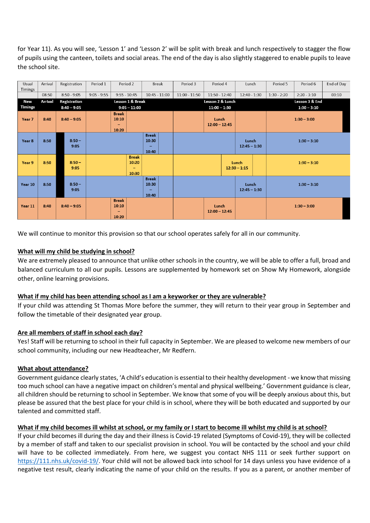for Year 11). As you will see, 'Lesson 1' and 'Lesson 2' will be split with break and lunch respectively to stagger the flow of pupils using the canteen, toilets and social areas. The end of the day is also slightly staggered to enable pupils to leave the school site.

| Usual          | Arrival | Registration     | Period 1                                                   | Period 2       |  | <b>Break</b>                   |  | Period 3                 | Period 4                 |                         | Lunch                   |               | Period 5       | Period 6      | End of Day |
|----------------|---------|------------------|------------------------------------------------------------|----------------|--|--------------------------------|--|--------------------------|--------------------------|-------------------------|-------------------------|---------------|----------------|---------------|------------|
| Timings        |         |                  |                                                            |                |  |                                |  |                          |                          |                         |                         |               |                |               |            |
|                | 08:50   | $8:50 - 9:05$    | $9:05 - 9:55$                                              | $9:55 - 10:45$ |  | $10:45 - 11:00$                |  | $11:00 - 11:50$          | $11:50 - 12:40$          |                         | $12:40 - 1:30$          |               | $1:30 - 2:20$  | $2:20 - 3:10$ | 03:10      |
| New            | Arrival | Registration     | Lesson 1 & Break                                           |                |  |                                |  | Lesson 2 & Lunch         |                          |                         |                         |               | Lesson 3 & End |               |            |
| <b>Timings</b> |         | $8:40 - 9:05$    | $9:05 - 11:00$                                             |                |  |                                |  | $11:00 - 1:30$           |                          |                         |                         |               | $1:30 - 3:10$  |               |            |
| Year 7         | 8:40    | $8:40 - 9:05$    | <b>Break</b><br>10:10<br>10:20                             |                |  |                                |  | Lunch<br>$12:00 - 12:45$ |                          |                         |                         | $1:30 - 3:00$ |                |               |            |
| Year 8         | 8:50    | $8:50 -$<br>9:05 |                                                            |                |  | <b>Break</b><br>10:30<br>10:40 |  |                          |                          |                         | Lunch<br>$12:45 - 1:30$ |               | $1:30 - 3:10$  |               |            |
| Year 9         | 8:50    | $8:50 -$<br>9:05 | <b>Break</b><br>10:20<br>$\overline{\phantom{a}}$<br>10:30 |                |  |                                |  |                          |                          | Lunch<br>$12:30 - 1:15$ |                         | $1:30 - 3:10$ |                |               |            |
| Year 10        | 8:50    | $8:50 -$<br>9:05 |                                                            |                |  | <b>Break</b><br>10:30<br>10:40 |  |                          |                          |                         | Lunch<br>$12:45 - 1:30$ |               | $1:30 - 3:10$  |               |            |
| Year 11        | 8:40    | $8:40 - 9:05$    | <b>Break</b><br>10:10<br>$\overline{\phantom{a}}$<br>10:20 |                |  |                                |  |                          | Lunch<br>$12:00 - 12:45$ |                         |                         |               |                | $1:30 - 3:00$ |            |

We will continue to monitor this provision so that our school operates safely for all in our community.

## **What will my child be studying in school?**

We are extremely pleased to announce that unlike other schools in the country, we will be able to offer a full, broad and balanced curriculum to all our pupils. Lessons are supplemented by homework set on Show My Homework, alongside other, online learning provisions.

## **What if my child has been attending school as I am a keyworker or they are vulnerable?**

If your child was attending St Thomas More before the summer, they will return to their year group in September and follow the timetable of their designated year group.

## **Are all members of staff in school each day?**

Yes! Staff will be returning to school in their full capacity in September. We are pleased to welcome new members of our school community, including our new Headteacher, Mr Redfern.

## **What about attendance?**

Government guidance clearly states, 'A child's education is essential to their healthy development - we know that missing too much school can have a negative impact on children's mental and physical wellbeing.' Government guidance is clear, all children should be returning to school in September. We know that some of you will be deeply anxious about this, but please be assured that the best place for your child is in school, where they will be both educated and supported by our talented and committed staff.

## **What if my child becomes ill whilst at school, or my family or I start to become ill whilst my child is at school?**

If your child becomes ill during the day and their illness is Covid-19 related (Symptoms of Covid-19), they will be collected by a member of staff and taken to our specialist provision in school. You will be contacted by the school and your child will have to be collected immediately. From here, we suggest you contact NHS 111 or seek further support on [https://111.nhs.uk/covid-19/.](https://111.nhs.uk/covid-19/) Your child will not be allowed back into school for 14 days unless you have evidence of a negative test result, clearly indicating the name of your child on the results. If you as a parent, or another member of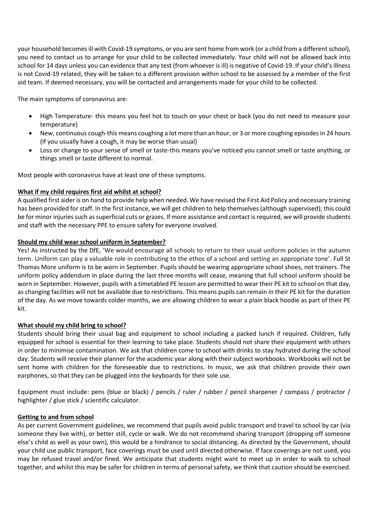your household becomes ill with Covid-19 symptoms, or you are sent home from work (or a child from a different school), you need to contact us to arrange for your child to be collected immediately. Your child will not be allowed back into school for 14 days unless you can evidence that any test (from whoever is ill) is negative of Covid-19. If your child's illness is not Covid-19 related, they will be taken to a different provision within school to be assessed by a member of the first aid team. If deemed necessary, you will be contacted and arrangements made for your child to be collected.

The main symptoms of coronavirus are:

- High Temperature- this means you feel hot to touch on your chest or back (you do not need to measure your temperature)
- New, continuous cough-this means coughing a lot more than an hour, or 3 or more coughing episodes in 24 hours (If you usually have a cough, it may be worse than usual)
- Loss or change to your sense of smell or taste-this means you've noticed you cannot smell or taste anything, or things smell or taste different to normal.

Most people with coronavirus have at least one of these symptoms.

## **What if my child requires first aid whilst at school?**

A qualified first aider is on hand to provide help when needed. We have revised the First Aid Policy and necessary training has been provided for staff. In the first instance, we will get children to help themselves (although supervised); this could be for minor injuries such as superficial cuts or grazes. If more assistance and contact is required, we will provide students and staff with the necessary PPE to ensure safety for everyone involved.

## **Should my child wear school uniform in September?**

Yes! As instructed by the DfE, 'We would encourage all schools to return to their usual uniform policies in the autumn term. Uniform can play a valuable role in contributing to the ethos of a school and setting an appropriate tone'. Full St Thomas More uniform is to be worn in September. Pupils should be wearing appropriate school shoes, not trainers. The uniform policy addendum in place during the last three months will cease, meaning that full school uniform should be worn in September. However, pupils with a timetabled PE lesson are permitted to wear their PE kit to school on that day, as changing facilities will not be available due to restrictions. This means pupils can remain in their PE kit for the duration of the day. As we move towards colder months, we are allowing children to wear a plain black hoodie as part of their PE kit.

#### **What should my child bring to school?**

Students should bring their usual bag and equipment to school including a packed lunch if required. Children, fully equipped for school is essential for their learning to take place. Students should not share their equipment with others in order to minimise contamination. We ask that children come to school with drinks to stay hydrated during the school day. Students will receive their planner for the academic year along with their subject workbooks. Workbooks will not be sent home with children for the foreseeable due to restrictions. In music, we ask that children provide their own earphones, so that they can be plugged into the keyboards for their sole use.

Equipment must include: pens (blue or black) / pencils / ruler / rubber / pencil sharpener / compass / protractor / highlighter / glue stick / scientific calculator.

#### **Getting to and from school**

As per current Government guidelines, we recommend that pupils avoid public transport and travel to school by car (via someone they live with), or better still, cycle or walk. We do not recommend sharing transport (dropping off someone else's child as well as your own), this would be a hindrance to social distancing. As directed by the Government, should your child use public transport, face coverings must be used until directed otherwise. If face coverings are not used, you may be refused travel and/or fined. We anticipate that students might want to meet up in order to walk to school together, and whilst this may be safer for children in terms of personal safety, we think that caution should be exercised.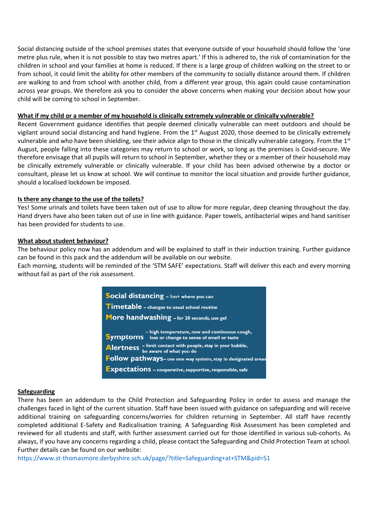Social distancing outside of the school premises states that everyone outside of your household should follow the 'one metre plus rule, when it is not possible to stay two metres apart.' If this is adhered to, the risk of contamination for the children in school and your families at home is reduced. If there is a large group of children walking on the street to or from school, it could limit the ability for other members of the community to socially distance around them. If children are walking to and from school with another child, from a different year group, this again could cause contamination across year groups. We therefore ask you to consider the above concerns when making your decision about how your child will be coming to school in September.

#### **What if my child or a member of my household is clinically extremely vulnerable or clinically vulnerable?**

Recent Government guidance identifies that people deemed clinically vulnerable can meet outdoors and should be vigilant around social distancing and hand hygiene. From the  $1<sup>st</sup>$  August 2020, those deemed to be clinically extremely vulnerable and who have been shielding, see their advice align to those in the clinically vulnerable category. From the 1st August, people falling into these categories may return to school or work, so long as the premises is Covid-secure. We therefore envisage that all pupils will return to school in September, whether they or a member of their household may be clinically extremely vulnerable or clinically vulnerable. If your child has been advised otherwise by a doctor or consultant, please let us know at school. We will continue to monitor the local situation and provide further guidance, should a localised lockdown be imposed.

## **Is there any change to the use of the toilets?**

Yes! Some urinals and toilets have been taken out of use to allow for more regular, deep cleaning throughout the day. Hand dryers have also been taken out of use in line with guidance. Paper towels, antibacterial wipes and hand sanitiser has been provided for students to use.

## **What about student behaviour?**

The behaviour policy now has an addendum and will be explained to staff in their induction training. Further guidance can be found in this pack and the addendum will be available on our website.

Each morning, students will be reminded of the 'STM SAFE' expectations. Staff will deliver this each and every morning without fail as part of the risk assessment.

> Social distancing - Im+ where you can Timetable - changes to usual school routine More handwashing - for 20 seconds, use gel - high temperature, new and continuous cough,<br>Symptoms loss or change to sense of smell or taste Alertness - limit contact with people, stay in your bubble, Follow pathways- use one way system, stay in designated areas **Expectations** - cooperative, supportive, responsible, safe

#### **Safeguarding**

There has been an addendum to the Child Protection and Safeguarding Policy in order to assess and manage the challenges faced in light of the current situation. Staff have been issued with guidance on safeguarding and will receive additional training on safeguarding concerns/worries for children returning in September. All staff have recently completed additional E-Safety and Radicalisation training. A Safeguarding Risk Assessment has been completed and reviewed for all students and staff, with further assessment carried out for those identified in various sub-cohorts. As always, if you have any concerns regarding a child, please contact the Safeguarding and Child Protection Team at school. Further details can be found on our website:

<https://www.st-thomasmore.derbyshire.sch.uk/page/?title=Safeguarding+at+STM&pid=51>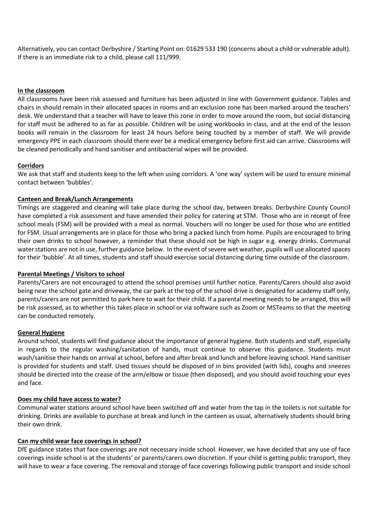Alternatively, you can contact Derbyshire / Starting Point on: 01629 533 190 (concerns about a child or vulnerable adult). If there is an immediate risk to a child, please call 111/999.

#### **In the classroom**

All classrooms have been risk assessed and furniture has been adjusted in line with Government guidance. Tables and chairs in should remain in their allocated spaces in rooms and an exclusion zone has been marked around the teachers' desk. We understand that a teacher will have to leave this zone in order to move around the room, but social distancing for staff must be adhered to as far as possible. Children will be using workbooks in class, and at the end of the lesson books will remain in the classroom for least 24 hours before being touched by a member of staff. We will provide emergency PPE in each classroom should there ever be a medical emergency before first aid can arrive. Classrooms will be cleaned periodically and hand sanitiser and antibacterial wipes will be provided.

#### **Corridors**

We ask that staff and students keep to the left when using corridors. A 'one way' system will be used to ensure minimal contact between 'bubbles'.

## **Canteen and Break/Lunch Arrangements**

Timings are staggered and cleaning will take place during the school day, between breaks. Derbyshire County Council have completed a risk assessment and have amended their policy for catering at STM. Those who are in receipt of free school meals (FSM) will be provided with a meal as normal. Vouchers will no longer be used for those who are entitled for FSM. Usual arrangements are in place for those who bring a packed lunch from home. Pupils are encouraged to bring their own drinks to school however, a reminder that these should not be high in sugar e.g. energy drinks. Communal water stations are not in use, further guidance below. In the event of severe wet weather, pupils will use allocated spaces for their 'bubble'. At all times, students and staff should exercise social distancing during time outside of the classroom.

#### **Parental Meetings / Visitors to school**

Parents/Carers are not encouraged to attend the school premises until further notice. Parents/Carers should also avoid being near the school gate and driveway, the car park at the top of the school drive is designated for academy staff only, parents/carers are not permitted to park here to wait for their child. If a parental meeting needs to be arranged, this will be risk assessed, as to whether this takes place in school or via software such as Zoom or MSTeams so that the meeting can be conducted remotely.

#### **General Hygiene**

Around school, students will find guidance about the importance of general hygiene. Both students and staff, especially in regards to the regular washing/sanitation of hands, must continue to observe this guidance. Students must wash/sanitise their hands on arrival at school, before and after break and lunch and before leaving school. Hand sanitiser is provided for students and staff. Used tissues should be disposed of in bins provided (with lids), coughs and sneezes should be directed into the crease of the arm/elbow or tissue (then disposed), and you should avoid touching your eyes and face.

#### **Does my child have access to water?**

Communal water stations around school have been switched off and water from the tap in the toilets is not suitable for drinking. Drinks are available to purchase at break and lunch in the canteen as usual, alternatively students should bring their own drink.

#### **Can my child wear face coverings in school?**

DfE guidance states that face coverings are not necessary inside school. However, we have decided that any use of face coverings inside school is at the students' or parents/carers own discretion. If your child is getting public transport, they will have to wear a face covering. The removal and storage of face coverings following public transport and inside school